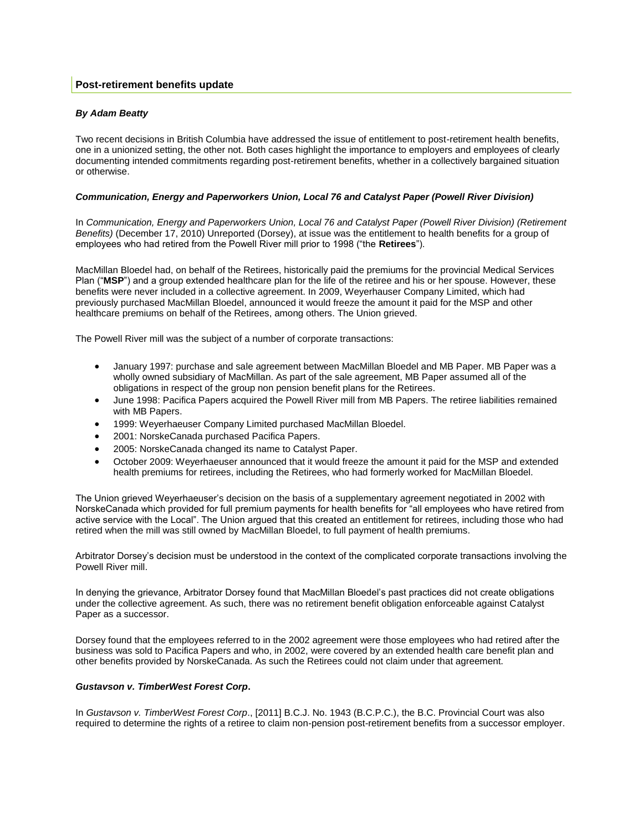## *By Adam Beatty*

Two recent decisions in British Columbia have addressed the issue of entitlement to post-retirement health benefits, one in a unionized setting, the other not. Both cases highlight the importance to employers and employees of clearly documenting intended commitments regarding post-retirement benefits, whether in a collectively bargained situation or otherwise.

## *Communication, Energy and Paperworkers Union, Local 76 and Catalyst Paper (Powell River Division)*

In *Communication, Energy and Paperworkers Union, Local 76 and Catalyst Paper (Powell River Division) (Retirement Benefits)* (December 17, 2010) Unreported (Dorsey), at issue was the entitlement to health benefits for a group of employees who had retired from the Powell River mill prior to 1998 ("the **Retirees**").

MacMillan Bloedel had, on behalf of the Retirees, historically paid the premiums for the provincial Medical Services Plan ("**MSP**") and a group extended healthcare plan for the life of the retiree and his or her spouse. However, these benefits were never included in a collective agreement. In 2009, Weyerhauser Company Limited, which had previously purchased MacMillan Bloedel, announced it would freeze the amount it paid for the MSP and other healthcare premiums on behalf of the Retirees, among others. The Union grieved.

The Powell River mill was the subject of a number of corporate transactions:

- January 1997: purchase and sale agreement between MacMillan Bloedel and MB Paper. MB Paper was a wholly owned subsidiary of MacMillan. As part of the sale agreement, MB Paper assumed all of the obligations in respect of the group non pension benefit plans for the Retirees.
- June 1998: Pacifica Papers acquired the Powell River mill from MB Papers. The retiree liabilities remained with MB Papers.
- 1999: Weyerhaeuser Company Limited purchased MacMillan Bloedel.
- 2001: NorskeCanada purchased Pacifica Papers.
- 2005: NorskeCanada changed its name to Catalyst Paper.
- October 2009: Weyerhaeuser announced that it would freeze the amount it paid for the MSP and extended health premiums for retirees, including the Retirees, who had formerly worked for MacMillan Bloedel.

The Union grieved Weyerhaeuser's decision on the basis of a supplementary agreement negotiated in 2002 with NorskeCanada which provided for full premium payments for health benefits for "all employees who have retired from active service with the Local". The Union argued that this created an entitlement for retirees, including those who had retired when the mill was still owned by MacMillan Bloedel, to full payment of health premiums.

Arbitrator Dorsey's decision must be understood in the context of the complicated corporate transactions involving the Powell River mill.

In denying the grievance, Arbitrator Dorsey found that MacMillan Bloedel's past practices did not create obligations under the collective agreement. As such, there was no retirement benefit obligation enforceable against Catalyst Paper as a successor.

Dorsey found that the employees referred to in the 2002 agreement were those employees who had retired after the business was sold to Pacifica Papers and who, in 2002, were covered by an extended health care benefit plan and other benefits provided by NorskeCanada. As such the Retirees could not claim under that agreement.

## *Gustavson v. TimberWest Forest Corp***.**

In *Gustavson v. TimberWest Forest Corp*., [2011] B.C.J. No. 1943 (B.C.P.C.), the B.C. Provincial Court was also required to determine the rights of a retiree to claim non-pension post-retirement benefits from a successor employer.